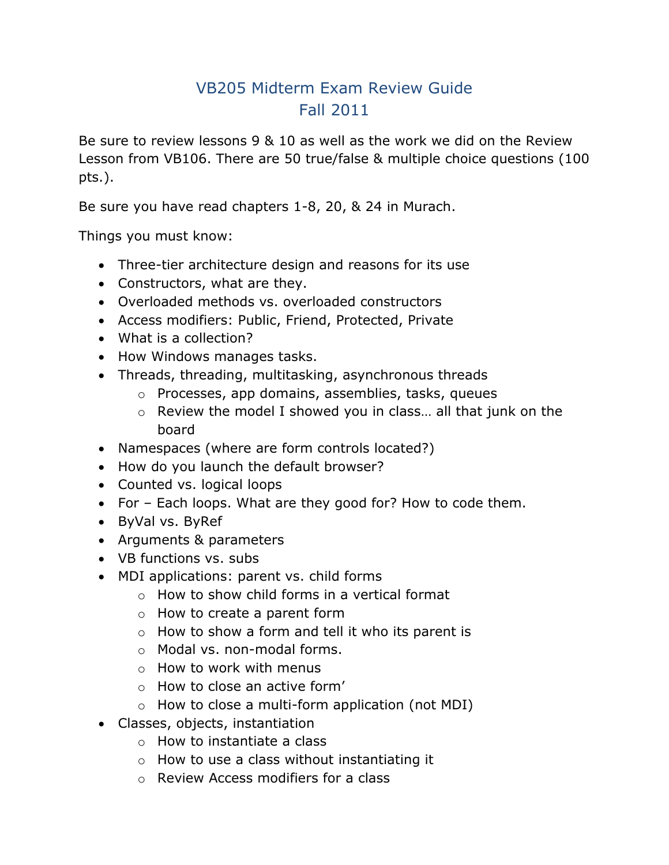## VB205 Midterm Exam Review Guide Fall 2011

Be sure to review lessons 9 & 10 as well as the work we did on the Review Lesson from VB106. There are 50 true/false & multiple choice questions (100 pts.).

Be sure you have read chapters 1-8, 20, & 24 in Murach.

Things you must know:

- Three-tier architecture design and reasons for its use
- Constructors, what are they.
- Overloaded methods vs. overloaded constructors
- Access modifiers: Public, Friend, Protected, Private
- What is a collection?
- How Windows manages tasks.
- Threads, threading, multitasking, asynchronous threads
	- o Processes, app domains, assemblies, tasks, queues
	- o Review the model I showed you in class… all that junk on the board
- Namespaces (where are form controls located?)
- How do you launch the default browser?
- Counted vs. logical loops
- For Each loops. What are they good for? How to code them.
- ByVal vs. ByRef
- Arguments & parameters
- VB functions vs. subs
- MDI applications: parent vs. child forms
	- o How to show child forms in a vertical format
	- o How to create a parent form
	- o How to show a form and tell it who its parent is
	- o Modal vs. non-modal forms.
	- o How to work with menus
	- o How to close an active form'
	- $\circ$  How to close a multi-form application (not MDI)
- Classes, objects, instantiation
	- o How to instantiate a class
	- o How to use a class without instantiating it
	- o Review Access modifiers for a class